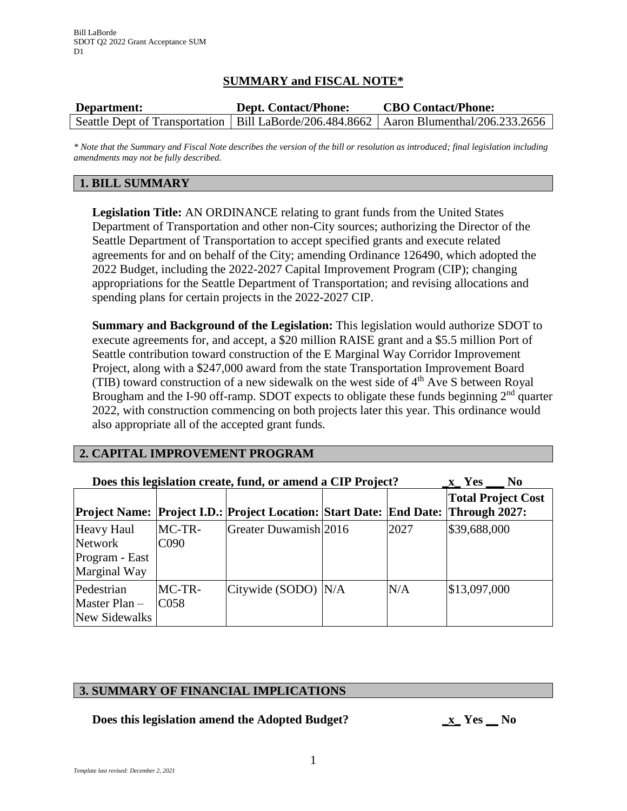## **SUMMARY and FISCAL NOTE\***

| Department: | <b>Dept. Contact/Phone:</b> | <b>CBO Contact/Phone:</b>                                                                  |  |
|-------------|-----------------------------|--------------------------------------------------------------------------------------------|--|
|             |                             | Seattle Dept of Transportation   Bill LaBorde/206.484.8662   Aaron Blumenthal/206.233.2656 |  |

*\* Note that the Summary and Fiscal Note describes the version of the bill or resolution as introduced; final legislation including amendments may not be fully described.*

## **1. BILL SUMMARY**

**Legislation Title:** AN ORDINANCE relating to grant funds from the United States Department of Transportation and other non-City sources; authorizing the Director of the Seattle Department of Transportation to accept specified grants and execute related agreements for and on behalf of the City; amending Ordinance 126490, which adopted the 2022 Budget, including the 2022-2027 Capital Improvement Program (CIP); changing appropriations for the Seattle Department of Transportation; and revising allocations and spending plans for certain projects in the 2022-2027 CIP.

**Summary and Background of the Legislation:** This legislation would authorize SDOT to execute agreements for, and accept, a \$20 million RAISE grant and a \$5.5 million Port of Seattle contribution toward construction of the E Marginal Way Corridor Improvement Project, along with a \$247,000 award from the state Transportation Improvement Board (TIB) toward construction of a new sidewalk on the west side of  $4<sup>th</sup>$  Ave S between Royal Brougham and the I-90 off-ramp. SDOT expects to obligate these funds beginning  $2<sup>nd</sup>$  quarter 2022, with construction commencing on both projects later this year. This ordinance would also appropriate all of the accepted grant funds.

# **2. CAPITAL IMPROVEMENT PROGRAM**

| Does this legislation create, fund, or amend a CIP Project?    | N <sub>0</sub><br>x Yes      |                                                                                   |      |                           |
|----------------------------------------------------------------|------------------------------|-----------------------------------------------------------------------------------|------|---------------------------|
|                                                                |                              | Project Name: Project I.D.: Project Location: Start Date: End Date: Through 2027: |      | <b>Total Project Cost</b> |
| <b>Heavy Haul</b><br>Network<br>Program - East<br>Marginal Way | $MC-TR-$<br>C <sub>090</sub> | Greater Duwamish 2016                                                             | 2027 | \$39,688,000              |
| Pedestrian<br>Master $Plan-$<br>New Sidewalks                  | $MC-TR-$<br>C <sub>058</sub> | Citywide (SODO) N/A                                                               | N/A  | \$13,097,000              |

## **3. SUMMARY OF FINANCIAL IMPLICATIONS**

**Does this legislation amend the Adopted Budget? \_x\_ Yes \_\_ No**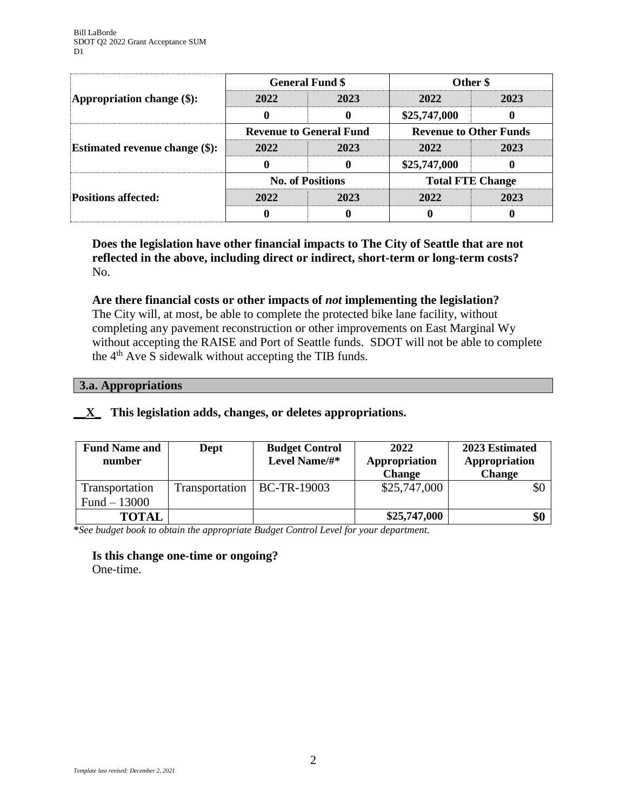|                                       | <b>General Fund \$</b>         |      | Other \$                      |      |
|---------------------------------------|--------------------------------|------|-------------------------------|------|
| Appropriation change $(\$)$ :         | 2022                           | 2023 | 2022                          | 2023 |
|                                       |                                |      | \$25,747,000                  |      |
| <b>Estimated revenue change (\$):</b> | <b>Revenue to General Fund</b> |      | <b>Revenue to Other Funds</b> |      |
|                                       | 2022                           | 2023 | 2022                          | 2023 |
|                                       |                                |      | \$25,747,000                  |      |
| <b>Positions affected:</b>            | <b>No. of Positions</b>        |      | <b>Total FTE Change</b>       |      |
|                                       | 2022                           | 2023 | 2022                          | 2023 |
|                                       |                                |      |                               |      |

**Does the legislation have other financial impacts to The City of Seattle that are not reflected in the above, including direct or indirect, short-term or long-term costs?** No.

### **Are there financial costs or other impacts of** *not* **implementing the legislation?**

The City will, at most, be able to complete the protected bike lane facility, without completing any pavement reconstruction or other improvements on East Marginal Wy without accepting the RAISE and Port of Seattle funds. SDOT will not be able to complete the 4th Ave S sidewalk without accepting the TIB funds.

### **3.a. Appropriations**

### **\_\_X\_ This legislation adds, changes, or deletes appropriations.**

| <b>Fund Name and</b><br>number | Dept           | <b>Budget Control</b><br>Level Name/#* | 2022<br>Appropriation<br><b>Change</b> | 2023 Estimated<br>Appropriation<br><b>Change</b> |
|--------------------------------|----------------|----------------------------------------|----------------------------------------|--------------------------------------------------|
| Transportation                 | Transportation | <b>BC-TR-19003</b>                     | \$25,747,000                           | \$0                                              |
| Fund $-13000$                  |                |                                        |                                        |                                                  |
| <b>TOTAL</b>                   |                |                                        | \$25,747,000                           | \$0                                              |

**\****See budget book to obtain the appropriate Budget Control Level for your department.*

# **Is this change one-time or ongoing?**

One-time.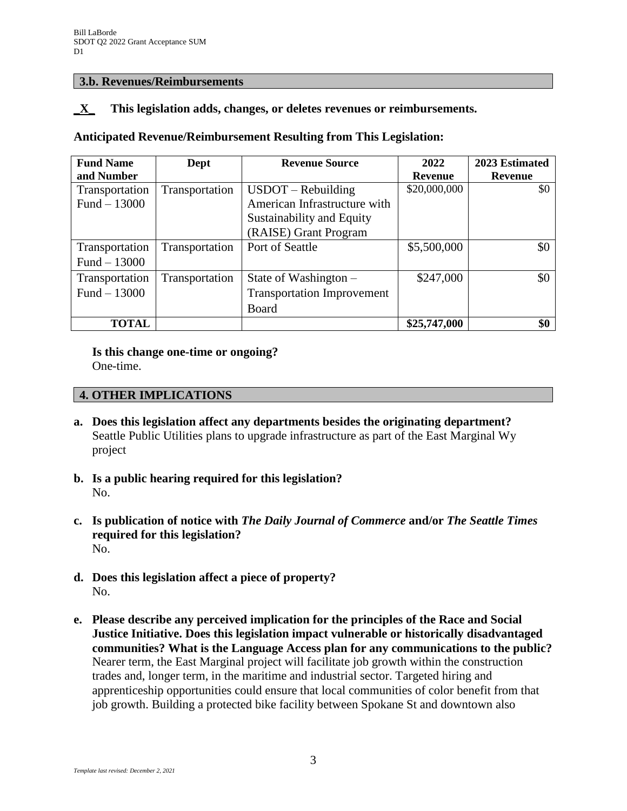### **3.b. Revenues/Reimbursements**

## **\_X\_ This legislation adds, changes, or deletes revenues or reimbursements.**

### **Anticipated Revenue/Reimbursement Resulting from This Legislation:**

| <b>Fund Name</b> | Dept           | <b>Revenue Source</b>             | 2022           | 2023 Estimated |
|------------------|----------------|-----------------------------------|----------------|----------------|
| and Number       |                |                                   | <b>Revenue</b> | <b>Revenue</b> |
| Transportation   | Transportation | $USDOT - Rebuilding$              | \$20,000,000   | \$0            |
| Fund $-13000$    |                | American Infrastructure with      |                |                |
|                  |                | Sustainability and Equity         |                |                |
|                  |                | (RAISE) Grant Program             |                |                |
| Transportation   | Transportation | Port of Seattle                   | \$5,500,000    | \$0            |
| Fund $-13000$    |                |                                   |                |                |
| Transportation   | Transportation | State of Washington $-$           | \$247,000      | \$0            |
| Fund $-13000$    |                | <b>Transportation Improvement</b> |                |                |
|                  |                | Board                             |                |                |
| <b>TOTAL</b>     |                |                                   | \$25,747,000   | \$0            |

**Is this change one-time or ongoing?**

One-time.

## **4. OTHER IMPLICATIONS**

- **a. Does this legislation affect any departments besides the originating department?** Seattle Public Utilities plans to upgrade infrastructure as part of the East Marginal Wy project
- **b. Is a public hearing required for this legislation?** No.
- **c. Is publication of notice with** *The Daily Journal of Commerce* **and/or** *The Seattle Times* **required for this legislation?** No.
- **d. Does this legislation affect a piece of property?** No.
- **e. Please describe any perceived implication for the principles of the Race and Social Justice Initiative. Does this legislation impact vulnerable or historically disadvantaged communities? What is the Language Access plan for any communications to the public?** Nearer term, the East Marginal project will facilitate job growth within the construction trades and, longer term, in the maritime and industrial sector. Targeted hiring and apprenticeship opportunities could ensure that local communities of color benefit from that job growth. Building a protected bike facility between Spokane St and downtown also